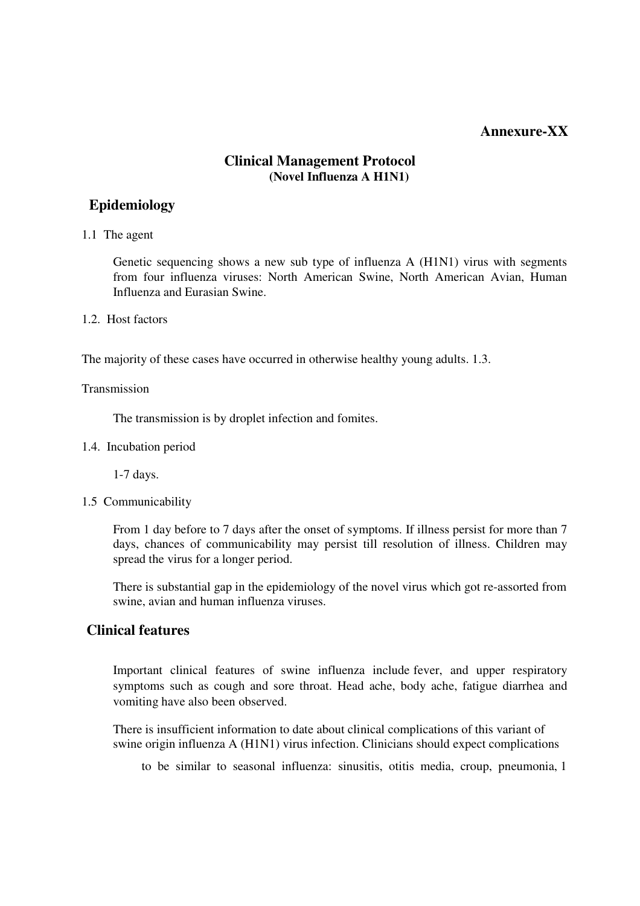## **Annexure-XX**

### **Clinical Management Protocol (Novel Influenza A H1N1)**

## **Epidemiology**

1.1 The agent

Genetic sequencing shows a new sub type of influenza A (H1N1) virus with segments from four influenza viruses: North American Swine, North American Avian, Human Influenza and Eurasian Swine.

#### 1.2. Host factors

The majority of these cases have occurred in otherwise healthy young adults. 1.3.

#### Transmission

The transmission is by droplet infection and fomites.

1.4. Incubation period

1-7 days.

1.5 Communicability

From 1 day before to 7 days after the onset of symptoms. If illness persist for more than 7 days, chances of communicability may persist till resolution of illness. Children may spread the virus for a longer period.

There is substantial gap in the epidemiology of the novel virus which got re-assorted from swine, avian and human influenza viruses.

# **Clinical features**

Important clinical features of swine influenza include fever, and upper respiratory symptoms such as cough and sore throat. Head ache, body ache, fatigue diarrhea and vomiting have also been observed.

There is insufficient information to date about clinical complications of this variant of swine origin influenza A (H1N1) virus infection. Clinicians should expect complications

to be similar to seasonal influenza: sinusitis, otitis media, croup, pneumonia, 1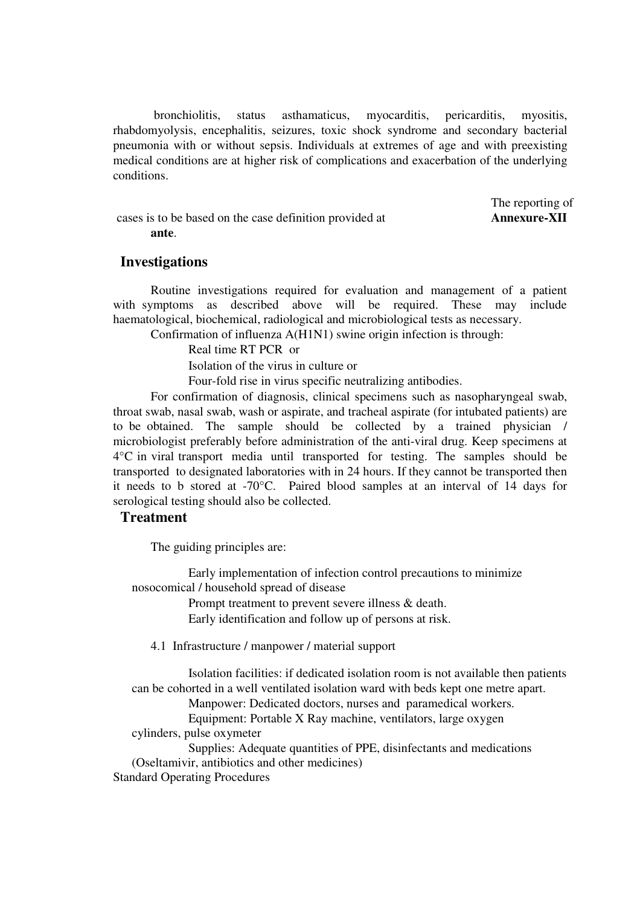bronchiolitis, status asthamaticus, myocarditis, pericarditis, myositis, rhabdomyolysis, encephalitis, seizures, toxic shock syndrome and secondary bacterial pneumonia with or without sepsis. Individuals at extremes of age and with preexisting medical conditions are at higher risk of complications and exacerbation of the underlying conditions.

The reporting of cases is to be based on the case definition provided at **Annexure-XII ante**.

#### **Investigations**

Routine investigations required for evaluation and management of a patient with symptoms as described above will be required. These may include haematological, biochemical, radiological and microbiological tests as necessary.

Confirmation of influenza A(H1N1) swine origin infection is through:

Real time RT PCR or

Isolation of the virus in culture or

Four-fold rise in virus specific neutralizing antibodies.

For confirmation of diagnosis, clinical specimens such as nasopharyngeal swab, throat swab, nasal swab, wash or aspirate, and tracheal aspirate (for intubated patients) are to be obtained. The sample should be collected by a trained physician / microbiologist preferably before administration of the anti-viral drug. Keep specimens at 4°C in viral transport media until transported for testing. The samples should be transported to designated laboratories with in 24 hours. If they cannot be transported then it needs to b stored at -70°C. Paired blood samples at an interval of 14 days for serological testing should also be collected.

### **Treatment**

The guiding principles are:

 Early implementation of infection control precautions to minimize nosocomical / household spread of disease

> Prompt treatment to prevent severe illness & death. Early identification and follow up of persons at risk.

4.1 Infrastructure / manpower / material support

 Isolation facilities: if dedicated isolation room is not available then patients can be cohorted in a well ventilated isolation ward with beds kept one metre apart.

Manpower: Dedicated doctors, nurses and paramedical workers.

 Equipment: Portable X Ray machine, ventilators, large oxygen cylinders, pulse oxymeter

 Supplies: Adequate quantities of PPE, disinfectants and medications (Oseltamivir, antibiotics and other medicines)

Standard Operating Procedures